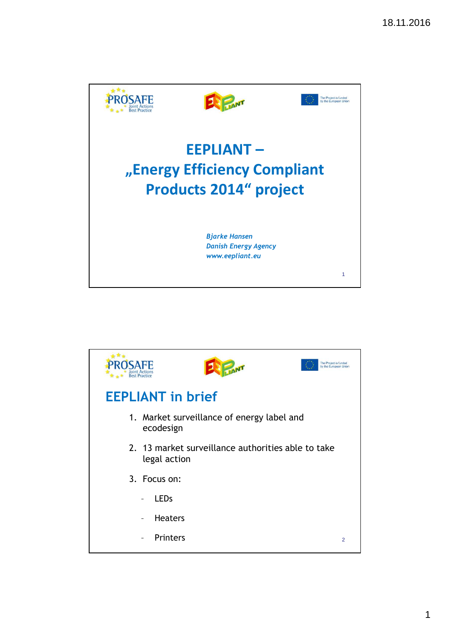

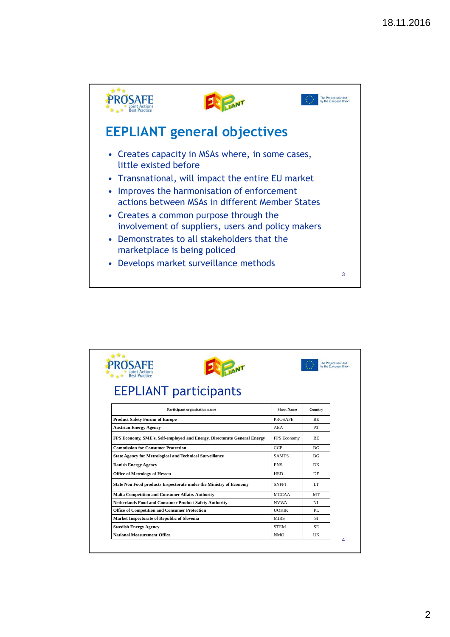

|                                                                          |                    | The Project is funded<br>by the European Union |  |  |  |  |
|--------------------------------------------------------------------------|--------------------|------------------------------------------------|--|--|--|--|
| <b>Rest Practic</b>                                                      |                    |                                                |  |  |  |  |
| <b>EEPLIANT participants</b>                                             |                    |                                                |  |  |  |  |
| Participant organisation name                                            | <b>Short Name</b>  | Country                                        |  |  |  |  |
| <b>Product Safety Forum of Europe</b>                                    | <b>PROSAFE</b>     | BE.                                            |  |  |  |  |
| <b>Austrian Energy Agency</b>                                            | <b>AEA</b>         | AT                                             |  |  |  |  |
| FPS Economy, SME's, Self-employed and Energy, Directorate General Energy | <b>FPS</b> Economy | <b>BE</b>                                      |  |  |  |  |
| <b>Commission for Consumer Protection</b>                                | <b>CCP</b>         | BG <sub>f</sub>                                |  |  |  |  |
| <b>State Agency for Metrological and Technical Surveillance</b>          | <b>SAMTS</b>       | BG <sub>f</sub>                                |  |  |  |  |
| <b>Danish Energy Agency</b>                                              | <b>ENS</b>         | DK                                             |  |  |  |  |
| <b>Office of Metrology of Hessen</b>                                     | <b>HED</b>         | DE                                             |  |  |  |  |
| State Non Food products Inspectorate under the Ministry of Economy       | <b>SNFPI</b>       | LТ                                             |  |  |  |  |
| <b>Malta Competition and Consumer Affairs Authority</b>                  | <b>MCCAA</b>       | MT                                             |  |  |  |  |
| Netherlands Food and Consumer Product Safety Authority                   | <b>NVWA</b>        | NL.                                            |  |  |  |  |
| <b>Office of Competition and Consumer Protection</b>                     | <b>UOKIK</b>       | PL.                                            |  |  |  |  |
| Market Inspectorate of Republic of Slovenia                              | <b>MIRS</b>        | SI                                             |  |  |  |  |
| <b>Swedish Energy Agency</b>                                             | <b>STEM</b>        | SE.                                            |  |  |  |  |
| <b>National Measurement Office</b>                                       | <b>NMO</b>         | UK                                             |  |  |  |  |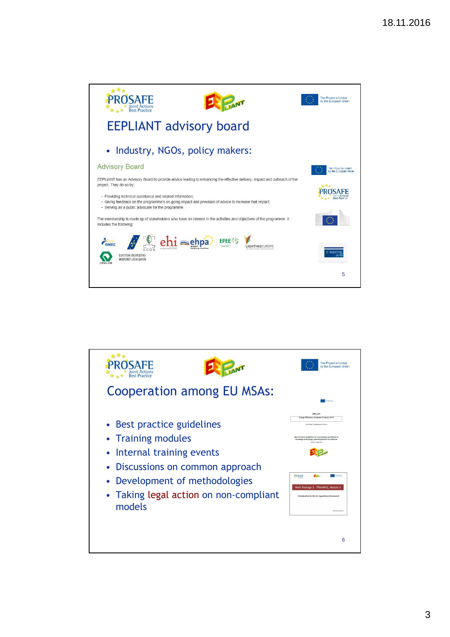

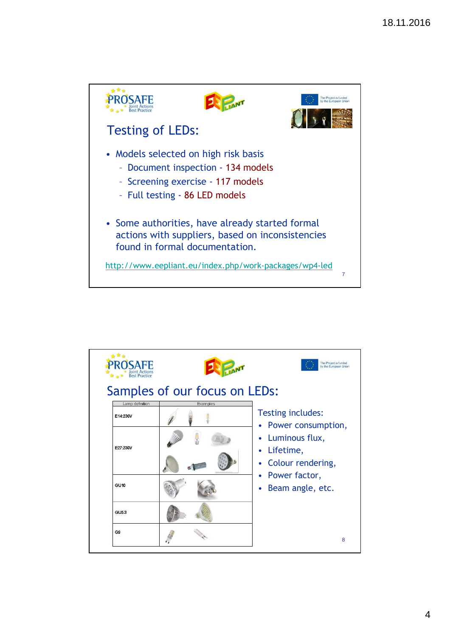

| <b>Best Practice</b><br>Samples of our focus on LEDs:<br>Lamp definition |
|--------------------------------------------------------------------------|
|--------------------------------------------------------------------------|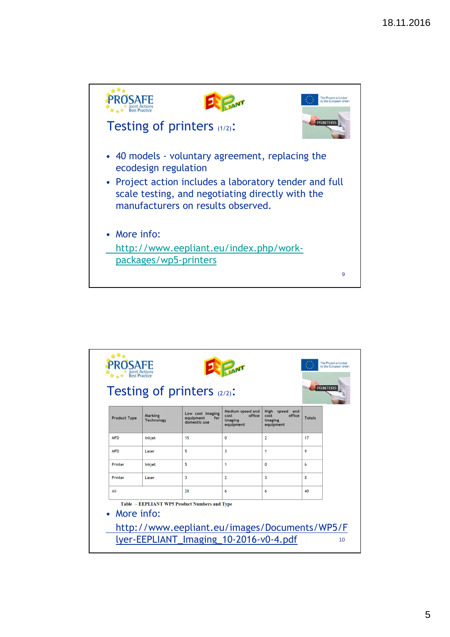

| <b>Product Type</b> | <b>Marking</b><br><b>Technology</b> | Low cost imaging<br>equipment<br>for<br>domestic use | Medium speed and<br>office<br>cost<br>imaging<br>equipment | High speed and<br>office<br>cost<br>imaging<br>equipment | <b>Totals</b> |
|---------------------|-------------------------------------|------------------------------------------------------|------------------------------------------------------------|----------------------------------------------------------|---------------|
| <b>MFD</b>          | Inkiet                              | 15                                                   | 0                                                          | $\overline{2}$                                           | 17            |
| <b>MFD</b>          | Laser                               | 5                                                    | 3                                                          | $\mathbf{1}$                                             | 9             |
| Printer             | Inkjet                              | 5                                                    | 1                                                          | $\mathbf{0}$                                             | 6             |
| Printer             | Laser                               | 3                                                    | $\overline{2}$                                             | 3                                                        | 8             |
| All                 |                                     | 28                                                   | 6                                                          | 6                                                        | 40            |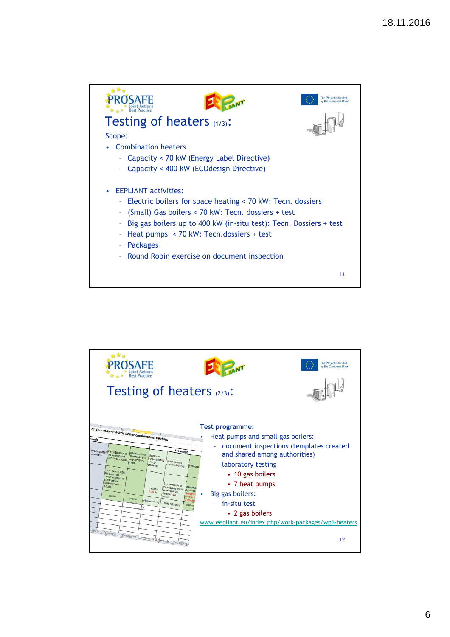

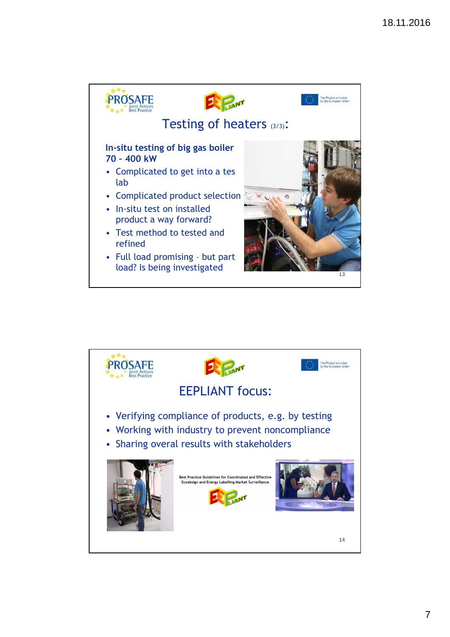